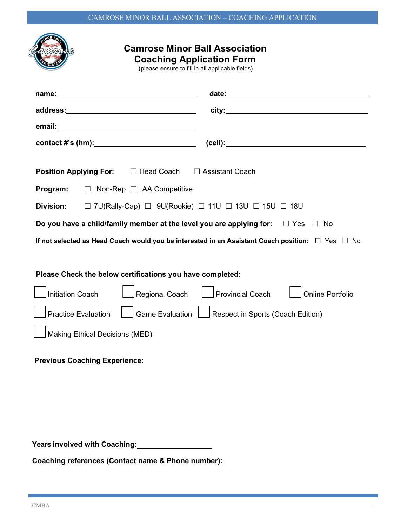| <b>Camrose Minor Ball Association</b><br><b>Coaching Application Form</b><br>(please ensure to fill in all applicable fields) |                                                     |
|-------------------------------------------------------------------------------------------------------------------------------|-----------------------------------------------------|
|                                                                                                                               |                                                     |
|                                                                                                                               |                                                     |
|                                                                                                                               |                                                     |
|                                                                                                                               |                                                     |
| <b>Position Applying For:</b> $\Box$ Head Coach $\Box$ Assistant Coach                                                        |                                                     |
| Program:<br>$\Box$ Non-Rep $\Box$ AA Competitive                                                                              |                                                     |
| $\Box$ 7U(Rally-Cap) $\Box$ 9U(Rookie) $\Box$ 11U $\Box$ 13U $\Box$ 15U $\Box$ 18U<br>Division:                               |                                                     |
| Do you have a child/family member at the level you are applying for: $\square$ Yes $\square$ No                               |                                                     |
| If not selected as Head Coach would you be interested in an Assistant Coach position: $\Box$ Yes $\Box$ No                    |                                                     |
| Please Check the below certifications you have completed:<br><b>Initiation Coach</b><br><b>Online Portfolio</b>               |                                                     |
| <b>Practice Evaluation</b>                                                                                                    | Game Evaluation   Respect in Sports (Coach Edition) |
| Making Ethical Decisions (MED)                                                                                                |                                                     |
| <b>Previous Coaching Experience:</b>                                                                                          |                                                     |
|                                                                                                                               |                                                     |

**Years involved with Coaching:**

**Coaching references (Contact name & Phone number):**